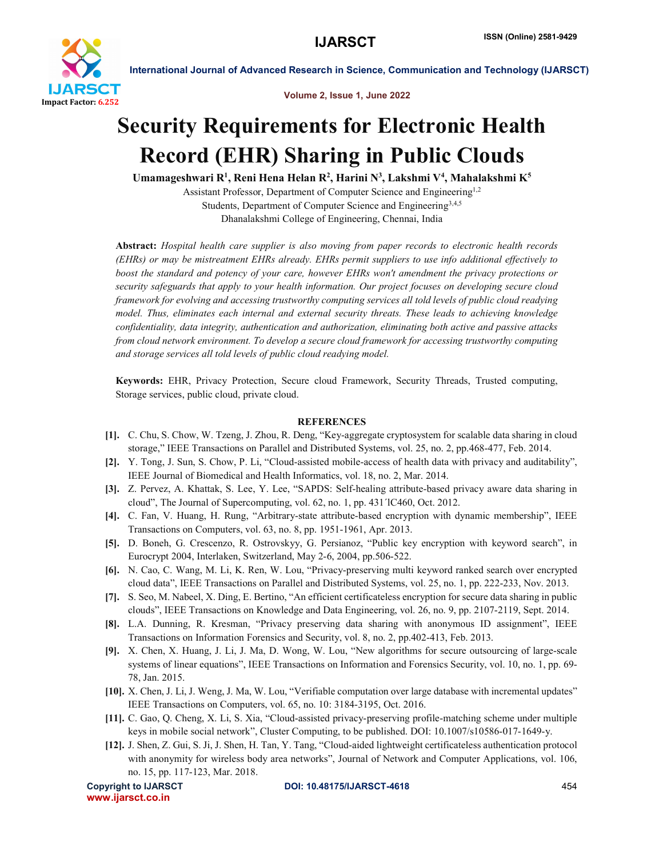

International Journal of Advanced Research in Science, Communication and Technology (IJARSCT)

Volume 2, Issue 1, June 2022

## Security Requirements for Electronic Health Record (EHR) Sharing in Public Clouds

Umamageshwari R<sup>1</sup>, Reni Hena Helan R<sup>2</sup>, Harini N<sup>3</sup>, Lakshmi V<sup>4</sup>, Mahalakshmi K<sup>5</sup>

Assistant Professor, Department of Computer Science and Engineering<sup>1,2</sup> Students, Department of Computer Science and Engineering<sup>3,4,5</sup> Dhanalakshmi College of Engineering, Chennai, India

Abstract: *Hospital health care supplier is also moving from paper records to electronic health records (EHRs) or may be mistreatment EHRs already. EHRs permit suppliers to use info additional effectively to boost the standard and potency of your care, however EHRs won't amendment the privacy protections or security safeguards that apply to your health information. Our project focuses on developing secure cloud framework for evolving and accessing trustworthy computing services all told levels of public cloud readying model. Thus, eliminates each internal and external security threats. These leads to achieving knowledge confidentiality, data integrity, authentication and authorization, eliminating both active and passive attacks from cloud network environment. To develop a secure cloud framework for accessing trustworthy computing and storage services all told levels of public cloud readying model.*

Keywords: EHR, Privacy Protection, Secure cloud Framework, Security Threads, Trusted computing, Storage services, public cloud, private cloud.

## **REFERENCES**

- [1]. C. Chu, S. Chow, W. Tzeng, J. Zhou, R. Deng, "Key-aggregate cryptosystem for scalable data sharing in cloud storage," IEEE Transactions on Parallel and Distributed Systems, vol. 25, no. 2, pp.468-477, Feb. 2014.
- [2]. Y. Tong, J. Sun, S. Chow, P. Li, "Cloud-assisted mobile-access of health data with privacy and auditability", IEEE Journal of Biomedical and Health Informatics, vol. 18, no. 2, Mar. 2014.
- [3]. Z. Pervez, A. Khattak, S. Lee, Y. Lee, "SAPDS: Self-healing attribute-based privacy aware data sharing in cloud", The Journal of Supercomputing, vol. 62, no. 1, pp. 431´lC460, Oct. 2012.
- [4]. C. Fan, V. Huang, H. Rung, "Arbitrary-state attribute-based encryption with dynamic membership", IEEE Transactions on Computers, vol. 63, no. 8, pp. 1951-1961, Apr. 2013.
- [5]. D. Boneh, G. Crescenzo, R. Ostrovskyy, G. Persianoz, "Public key encryption with keyword search", in Eurocrypt 2004, Interlaken, Switzerland, May 2-6, 2004, pp.506-522.
- [6]. N. Cao, C. Wang, M. Li, K. Ren, W. Lou, "Privacy-preserving multi keyword ranked search over encrypted cloud data", IEEE Transactions on Parallel and Distributed Systems, vol. 25, no. 1, pp. 222-233, Nov. 2013.
- [7]. S. Seo, M. Nabeel, X. Ding, E. Bertino, "An efficient certificateless encryption for secure data sharing in public clouds", IEEE Transactions on Knowledge and Data Engineering, vol. 26, no. 9, pp. 2107-2119, Sept. 2014.
- [8]. L.A. Dunning, R. Kresman, "Privacy preserving data sharing with anonymous ID assignment", IEEE Transactions on Information Forensics and Security, vol. 8, no. 2, pp.402-413, Feb. 2013.
- [9]. X. Chen, X. Huang, J. Li, J. Ma, D. Wong, W. Lou, "New algorithms for secure outsourcing of large-scale systems of linear equations", IEEE Transactions on Information and Forensics Security, vol. 10, no. 1, pp. 69- 78, Jan. 2015.
- [10]. X. Chen, J. Li, J. Weng, J. Ma, W. Lou, "Verifiable computation over large database with incremental updates" IEEE Transactions on Computers, vol. 65, no. 10: 3184-3195, Oct. 2016.
- [11]. C. Gao, Q. Cheng, X. Li, S. Xia, "Cloud-assisted privacy-preserving profile-matching scheme under multiple keys in mobile social network", Cluster Computing, to be published. DOI: 10.1007/s10586-017-1649-y.
- [12]. J. Shen, Z. Gui, S. Ji, J. Shen, H. Tan, Y. Tang, "Cloud-aided lightweight certificateless authentication protocol with anonymity for wireless body area networks", Journal of Network and Computer Applications, vol. 106, no. 15, pp. 117-123, Mar. 2018.

```
www.ijarsct.co.in
```